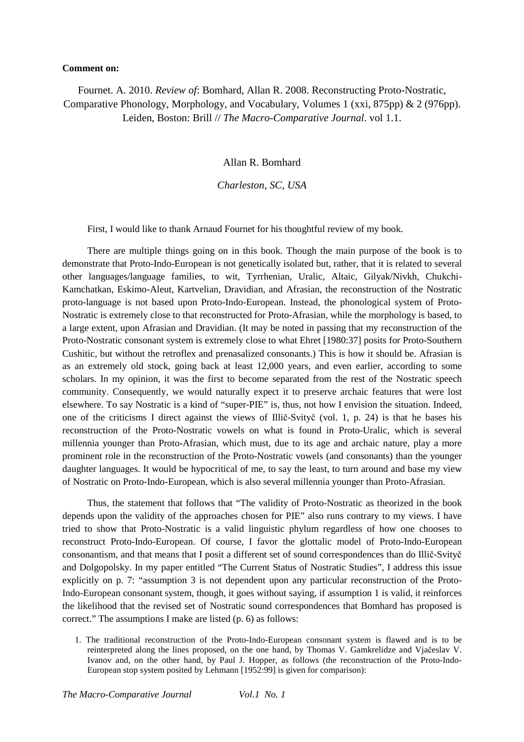## **Comment on:**

Fournet. A. 2010. *Review of*: Bomhard, Allan R. 2008. Reconstructing Proto-Nostratic, Comparative Phonology, Morphology, and Vocabulary, Volumes 1 (xxi, 875pp) & 2 (976pp). Leiden, Boston: Brill // *The Macro-Comparative Journal*. vol 1.1.

Allan R. Bomhard

*Charleston, SC, USA* 

First, I would like to thank Arnaud Fournet for his thoughtful review of my book.

There are multiple things going on in this book. Though the main purpose of the book is to demonstrate that Proto-Indo-European is not genetically isolated but, rather, that it is related to several other languages/language families, to wit, Tyrrhenian, Uralic, Altaic, Gilyak/Nivkh, Chukchi-Kamchatkan, Eskimo-Aleut, Kartvelian, Dravidian, and Afrasian, the reconstruction of the Nostratic proto-language is not based upon Proto-Indo-European. Instead, the phonological system of Proto-Nostratic is extremely close to that reconstructed for Proto-Afrasian, while the morphology is based, to a large extent, upon Afrasian and Dravidian. (It may be noted in passing that my reconstruction of the Proto-Nostratic consonant system is extremely close to what Ehret [1980:37] posits for Proto-Southern Cushitic, but without the retroflex and prenasalized consonants.) This is how it should be. Afrasian is as an extremely old stock, going back at least 12,000 years, and even earlier, according to some scholars. In my opinion, it was the first to become separated from the rest of the Nostratic speech community. Consequently, we would naturally expect it to preserve archaic features that were lost elsewhere. To say Nostratic is a kind of "super-PIE" is, thus, not how I envision the situation. Indeed, one of the criticisms I direct against the views of Illič-Svityč (vol. 1, p. 24) is that he bases his reconstruction of the Proto-Nostratic vowels on what is found in Proto-Uralic, which is several millennia younger than Proto-Afrasian, which must, due to its age and archaic nature, play a more prominent role in the reconstruction of the Proto-Nostratic vowels (and consonants) than the younger daughter languages. It would be hypocritical of me, to say the least, to turn around and base my view of Nostratic on Proto-Indo-European, which is also several millennia younger than Proto-Afrasian.

Thus, the statement that follows that "The validity of Proto-Nostratic as theorized in the book depends upon the validity of the approaches chosen for PIE" also runs contrary to my views. I have tried to show that Proto-Nostratic is a valid linguistic phylum regardless of how one chooses to reconstruct Proto-Indo-European. Of course, I favor the glottalic model of Proto-Indo-European consonantism, and that means that I posit a different set of sound correspondences than do Illič-Svityč and Dolgopolsky. In my paper entitled "The Current Status of Nostratic Studies", I address this issue explicitly on p. 7: "assumption 3 is not dependent upon any particular reconstruction of the Proto-Indo-European consonant system, though, it goes without saying, if assumption 1 is valid, it reinforces the likelihood that the revised set of Nostratic sound correspondences that Bomhard has proposed is correct." The assumptions I make are listed (p. 6) as follows:

1. The traditional reconstruction of the Proto-Indo-European consonant system is flawed and is to be reinterpreted along the lines proposed, on the one hand, by Thomas V. Gamkrelidze and Vjačeslav V. Ivanov and, on the other hand, by Paul J. Hopper, as follows (the reconstruction of the Proto-Indo-European stop system posited by Lehmann [1952:99] is given for comparison):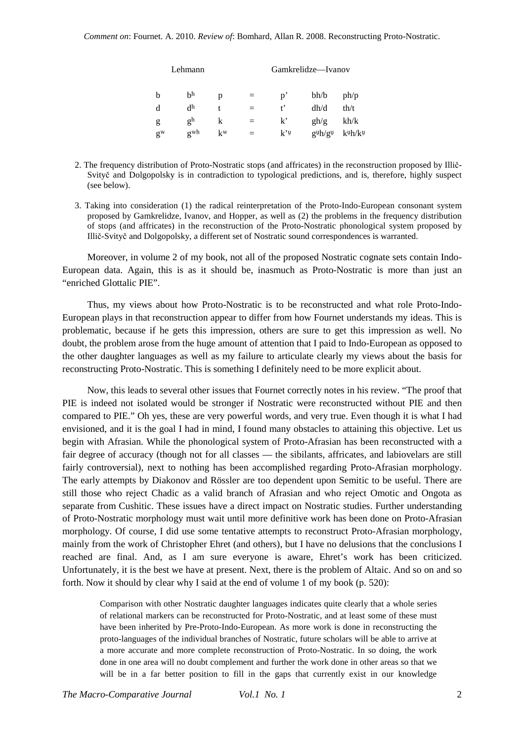| Lehmann                              | Gamkrelidze—Ivanov |                                         |      |
|--------------------------------------|--------------------|-----------------------------------------|------|
| b <sup>h</sup><br>b<br>$\equiv$<br>p | $p^{\prime}$       | bh/b                                    | ph/p |
| d <sup>h</sup><br>d<br>t<br>$=$      | $t^{\prime}$       | dh/d                                    | th/t |
| g <sup>h</sup><br>k<br>g<br>$=$      | $k^{\prime}$       | gh/g                                    | kh/k |
| gwh<br>$k^w$<br>$g^w$<br>$=$ $-$     | $k^{\prime}$       | $g \psi h / g \psi$ k $\psi h / k \psi$ |      |

- 2. The frequency distribution of Proto-Nostratic stops (and affricates) in the reconstruction proposed by Illič-Svityč and Dolgopolsky is in contradiction to typological predictions, and is, therefore, highly suspect (see below).
- 3. Taking into consideration (1) the radical reinterpretation of the Proto-Indo-European consonant system proposed by Gamkrelidze, Ivanov, and Hopper, as well as (2) the problems in the frequency distribution of stops (and affricates) in the reconstruction of the Proto-Nostratic phonological system proposed by Illič-Svityč and Dolgopolsky, a different set of Nostratic sound correspondences is warranted.

Moreover, in volume 2 of my book, not all of the proposed Nostratic cognate sets contain Indo-European data. Again, this is as it should be, inasmuch as Proto-Nostratic is more than just an "enriched Glottalic PIE".

Thus, my views about how Proto-Nostratic is to be reconstructed and what role Proto-Indo-European plays in that reconstruction appear to differ from how Fournet understands my ideas. This is problematic, because if he gets this impression, others are sure to get this impression as well. No doubt, the problem arose from the huge amount of attention that I paid to Indo-European as opposed to the other daughter languages as well as my failure to articulate clearly my views about the basis for reconstructing Proto-Nostratic. This is something I definitely need to be more explicit about.

Now, this leads to several other issues that Fournet correctly notes in his review. "The proof that PIE is indeed not isolated would be stronger if Nostratic were reconstructed without PIE and then compared to PIE." Oh yes, these are very powerful words, and very true. Even though it is what I had envisioned, and it is the goal I had in mind, I found many obstacles to attaining this objective. Let us begin with Afrasian. While the phonological system of Proto-Afrasian has been reconstructed with a fair degree of accuracy (though not for all classes — the sibilants, affricates, and labiovelars are still fairly controversial), next to nothing has been accomplished regarding Proto-Afrasian morphology. The early attempts by Diakonov and Rössler are too dependent upon Semitic to be useful. There are still those who reject Chadic as a valid branch of Afrasian and who reject Omotic and Ongota as separate from Cushitic. These issues have a direct impact on Nostratic studies. Further understanding of Proto-Nostratic morphology must wait until more definitive work has been done on Proto-Afrasian morphology. Of course, I did use some tentative attempts to reconstruct Proto-Afrasian morphology, mainly from the work of Christopher Ehret (and others), but I have no delusions that the conclusions I reached are final. And, as I am sure everyone is aware, Ehret's work has been criticized. Unfortunately, it is the best we have at present. Next, there is the problem of Altaic. And so on and so forth. Now it should by clear why I said at the end of volume 1 of my book (p. 520):

Comparison with other Nostratic daughter languages indicates quite clearly that a whole series of relational markers can be reconstructed for Proto-Nostratic, and at least some of these must have been inherited by Pre-Proto-Indo-European. As more work is done in reconstructing the proto-languages of the individual branches of Nostratic, future scholars will be able to arrive at a more accurate and more complete reconstruction of Proto-Nostratic. In so doing, the work done in one area will no doubt complement and further the work done in other areas so that we will be in a far better position to fill in the gaps that currently exist in our knowledge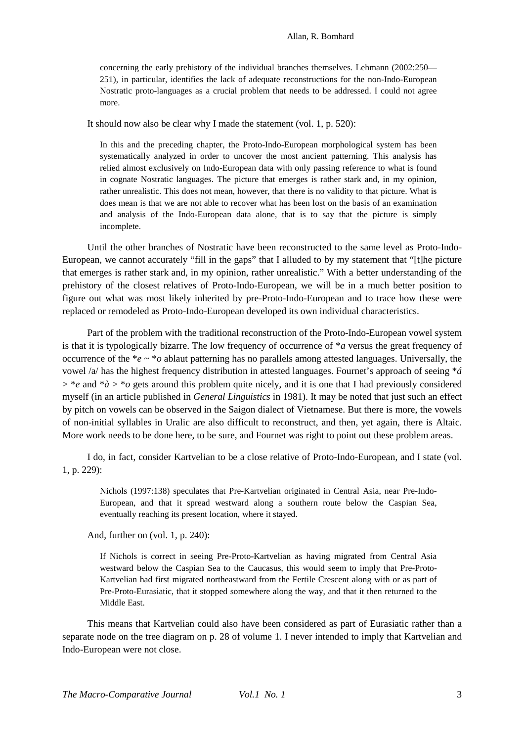concerning the early prehistory of the individual branches themselves. Lehmann (2002:250— 251), in particular, identifies the lack of adequate reconstructions for the non-Indo-European Nostratic proto-languages as a crucial problem that needs to be addressed. I could not agree more.

It should now also be clear why I made the statement (vol. 1, p. 520):

In this and the preceding chapter, the Proto-Indo-European morphological system has been systematically analyzed in order to uncover the most ancient patterning. This analysis has relied almost exclusively on Indo-European data with only passing reference to what is found in cognate Nostratic languages. The picture that emerges is rather stark and, in my opinion, rather unrealistic. This does not mean, however, that there is no validity to that picture. What is does mean is that we are not able to recover what has been lost on the basis of an examination and analysis of the Indo-European data alone, that is to say that the picture is simply incomplete.

Until the other branches of Nostratic have been reconstructed to the same level as Proto-Indo-European, we cannot accurately "fill in the gaps" that I alluded to by my statement that "[t]he picture that emerges is rather stark and, in my opinion, rather unrealistic." With a better understanding of the prehistory of the closest relatives of Proto-Indo-European, we will be in a much better position to figure out what was most likely inherited by pre-Proto-Indo-European and to trace how these were replaced or remodeled as Proto-Indo-European developed its own individual characteristics.

Part of the problem with the traditional reconstruction of the Proto-Indo-European vowel system is that it is typologically bizarre. The low frequency of occurrence of \**a* versus the great frequency of occurrence of the \**e* ~ \**o* ablaut patterning has no parallels among attested languages. Universally, the vowel /a/ has the highest frequency distribution in attested languages. Fournet's approach of seeing \**á*  > \**e* and \**à* > \**o* gets around this problem quite nicely, and it is one that I had previously considered myself (in an article published in *General Linguistics* in 1981). It may be noted that just such an effect by pitch on vowels can be observed in the Saigon dialect of Vietnamese. But there is more, the vowels of non-initial syllables in Uralic are also difficult to reconstruct, and then, yet again, there is Altaic. More work needs to be done here, to be sure, and Fournet was right to point out these problem areas.

I do, in fact, consider Kartvelian to be a close relative of Proto-Indo-European, and I state (vol. 1, p. 229):

Nichols (1997:138) speculates that Pre-Kartvelian originated in Central Asia, near Pre-Indo-European, and that it spread westward along a southern route below the Caspian Sea, eventually reaching its present location, where it stayed.

And, further on (vol. 1, p. 240):

If Nichols is correct in seeing Pre-Proto-Kartvelian as having migrated from Central Asia westward below the Caspian Sea to the Caucasus, this would seem to imply that Pre-Proto-Kartvelian had first migrated northeastward from the Fertile Crescent along with or as part of Pre-Proto-Eurasiatic, that it stopped somewhere along the way, and that it then returned to the Middle East.

This means that Kartvelian could also have been considered as part of Eurasiatic rather than a separate node on the tree diagram on p. 28 of volume 1. I never intended to imply that Kartvelian and Indo-European were not close.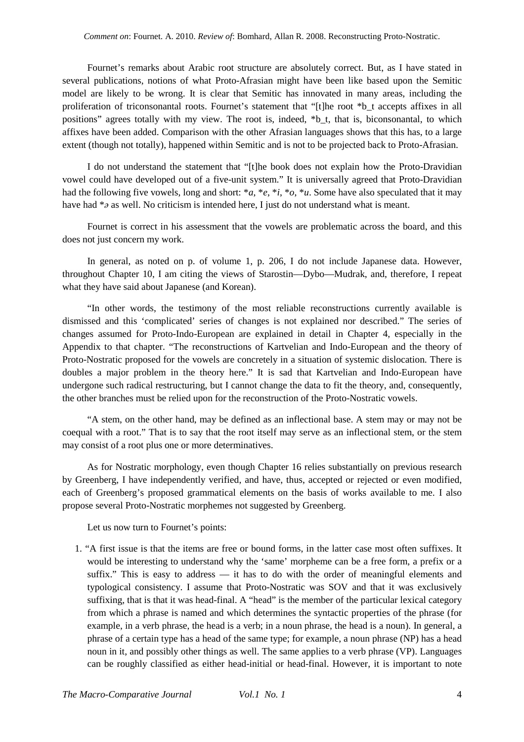Fournet's remarks about Arabic root structure are absolutely correct. But, as I have stated in several publications, notions of what Proto-Afrasian might have been like based upon the Semitic model are likely to be wrong. It is clear that Semitic has innovated in many areas, including the proliferation of triconsonantal roots. Fournet's statement that "[t]he root \*b\_t accepts affixes in all positions" agrees totally with my view. The root is, indeed, \*b\_t, that is, biconsonantal, to which affixes have been added. Comparison with the other Afrasian languages shows that this has, to a large extent (though not totally), happened within Semitic and is not to be projected back to Proto-Afrasian.

I do not understand the statement that "[t]he book does not explain how the Proto-Dravidian vowel could have developed out of a five-unit system." It is universally agreed that Proto-Dravidian had the following five vowels, long and short: \**a*, \**e*, \**i*, \**o*, \**u*. Some have also speculated that it may have had \**ǝ* as well. No criticism is intended here, I just do not understand what is meant.

Fournet is correct in his assessment that the vowels are problematic across the board, and this does not just concern my work.

In general, as noted on p. of volume 1, p. 206, I do not include Japanese data. However, throughout Chapter 10, I am citing the views of Starostin—Dybo—Mudrak, and, therefore, I repeat what they have said about Japanese (and Korean).

"In other words, the testimony of the most reliable reconstructions currently available is dismissed and this 'complicated' series of changes is not explained nor described." The series of changes assumed for Proto-Indo-European are explained in detail in Chapter 4, especially in the Appendix to that chapter. "The reconstructions of Kartvelian and Indo-European and the theory of Proto-Nostratic proposed for the vowels are concretely in a situation of systemic dislocation. There is doubles a major problem in the theory here." It is sad that Kartvelian and Indo-European have undergone such radical restructuring, but I cannot change the data to fit the theory, and, consequently, the other branches must be relied upon for the reconstruction of the Proto-Nostratic vowels.

"A stem, on the other hand, may be defined as an inflectional base. A stem may or may not be coequal with a root." That is to say that the root itself may serve as an inflectional stem, or the stem may consist of a root plus one or more determinatives.

As for Nostratic morphology, even though Chapter 16 relies substantially on previous research by Greenberg, I have independently verified, and have, thus, accepted or rejected or even modified, each of Greenberg's proposed grammatical elements on the basis of works available to me. I also propose several Proto-Nostratic morphemes not suggested by Greenberg.

Let us now turn to Fournet's points:

1. "A first issue is that the items are free or bound forms, in the latter case most often suffixes. It would be interesting to understand why the 'same' morpheme can be a free form, a prefix or a suffix." This is easy to address — it has to do with the order of meaningful elements and typological consistency. I assume that Proto-Nostratic was SOV and that it was exclusively suffixing, that is that it was head-final. A "head" is the member of the particular lexical category from which a phrase is named and which determines the syntactic properties of the phrase (for example, in a verb phrase, the head is a verb; in a noun phrase, the head is a noun). In general, a phrase of a certain type has a head of the same type; for example, a noun phrase (NP) has a head noun in it, and possibly other things as well. The same applies to a verb phrase (VP). Languages can be roughly classified as either head-initial or head-final. However, it is important to note